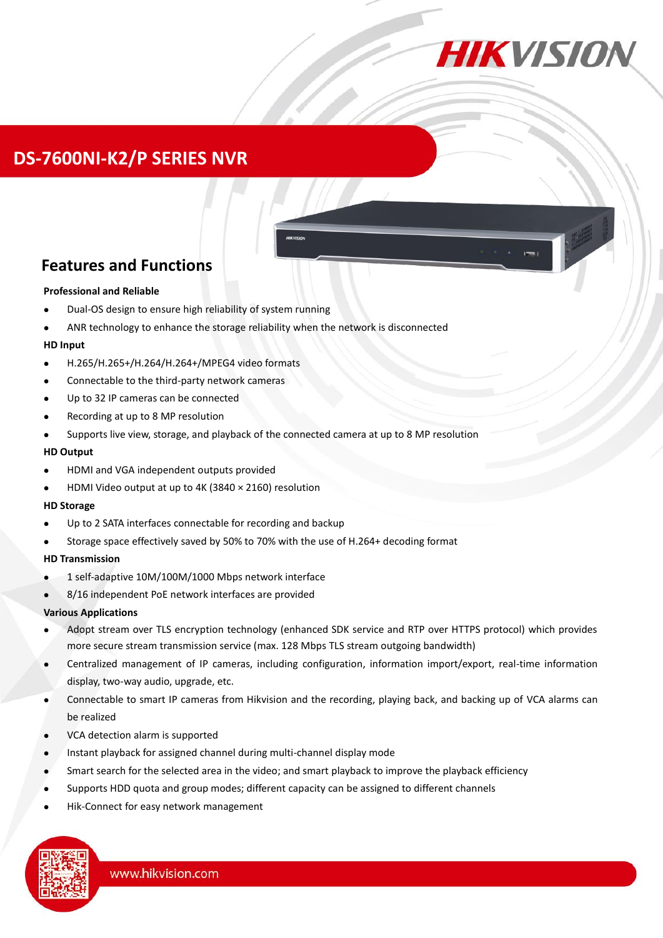

# **DS-7600NI-K2/P SERIES NVR**

### **Features and Functions**

#### **Professional and Reliable**

- Dual-OS design to ensure high reliability of system running
- ANR technology to enhance the storage reliability when the network is disconnected

#### **HD Input**

- H.265/H.265+/H.264/H.264+/MPEG4 video formats
- Connectable to the third-party network cameras
- Up to 32 IP cameras can be connected
- Recording at up to 8 MP resolution
- Supports live view, storage, and playback of the connected camera at up to 8 MP resolution

#### **HD Output**

- HDMI and VGA independent outputs provided
- HDMI Video output at up to 4K (3840 × 2160) resolution

#### **HD Storage**

- Up to 2 SATA interfaces connectable for recording and backup
- Storage space effectively saved by 50% to 70% with the use of H.264+ decoding format

#### **HD Transmission**

- 1 self-adaptive 10M/100M/1000 Mbps network interface
- 8/16 independent PoE network interfaces are provided

#### **Various Applications**

- Adopt stream over TLS encryption technology (enhanced SDK service and RTP over HTTPS protocol) which provides more secure stream transmission service (max. 128 Mbps TLS stream outgoing bandwidth)
- Centralized management of IP cameras, including configuration, information import/export, real-time information display, two-way audio, upgrade, etc.
- Connectable to smart IP cameras from Hikvision and the recording, playing back, and backing up of VCA alarms can be realized
- VCA detection alarm is supported
- Instant playback for assigned channel during multi-channel display mode
- Smart search for the selected area in the video; and smart playback to improve the playback efficiency
- Supports HDD quota and group modes; different capacity can be assigned to different channels
- Hik-Connect for easy network management

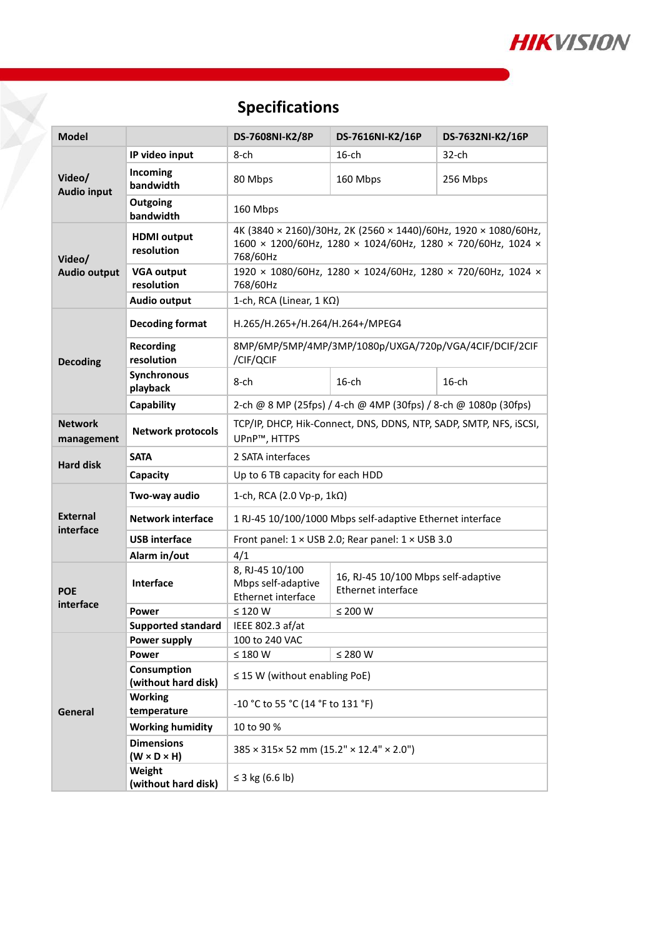

# **Specifications**

| <b>Model</b>                  |                                              | DS-7608NI-K2/8P                                                                                                                            | DS-7616NI-K2/16P                                          | DS-7632NI-K2/16P |
|-------------------------------|----------------------------------------------|--------------------------------------------------------------------------------------------------------------------------------------------|-----------------------------------------------------------|------------------|
| Video/<br><b>Audio input</b>  | IP video input                               | 8-ch                                                                                                                                       | $16$ -ch                                                  | $32$ -ch         |
|                               | Incoming<br>bandwidth                        | 80 Mbps                                                                                                                                    | 160 Mbps                                                  | 256 Mbps         |
|                               | Outgoing<br>bandwidth                        | 160 Mbps                                                                                                                                   |                                                           |                  |
| Video/<br><b>Audio output</b> | <b>HDMI</b> output<br>resolution             | 4K (3840 × 2160)/30Hz, 2K (2560 × 1440)/60Hz, 1920 × 1080/60Hz,<br>1600 × 1200/60Hz, 1280 × 1024/60Hz, 1280 × 720/60Hz, 1024 ×<br>768/60Hz |                                                           |                  |
|                               | <b>VGA output</b><br>resolution              | 1920 × 1080/60Hz, 1280 × 1024/60Hz, 1280 × 720/60Hz, 1024 ×<br>768/60Hz                                                                    |                                                           |                  |
|                               | <b>Audio output</b>                          | 1-ch, RCA (Linear, $1 K\Omega$ )                                                                                                           |                                                           |                  |
| <b>Decoding</b>               | <b>Decoding format</b>                       | H.265/H.265+/H.264/H.264+/MPEG4                                                                                                            |                                                           |                  |
|                               | <b>Recording</b><br>resolution               | 8MP/6MP/5MP/4MP/3MP/1080p/UXGA/720p/VGA/4CIF/DCIF/2CIF<br>/CIF/QCIF                                                                        |                                                           |                  |
|                               | Synchronous<br>playback                      | $8$ -ch                                                                                                                                    | $16$ -ch                                                  | $16$ -ch         |
|                               | Capability                                   | 2-ch @ 8 MP (25fps) / 4-ch @ 4MP (30fps) / 8-ch @ 1080p (30fps)                                                                            |                                                           |                  |
| <b>Network</b><br>management  | <b>Network protocols</b>                     | TCP/IP, DHCP, Hik-Connect, DNS, DDNS, NTP, SADP, SMTP, NFS, iSCSI,<br>UPnP™, HTTPS                                                         |                                                           |                  |
| <b>Hard disk</b>              | <b>SATA</b>                                  | 2 SATA interfaces                                                                                                                          |                                                           |                  |
|                               | Capacity                                     | Up to 6 TB capacity for each HDD                                                                                                           |                                                           |                  |
| <b>External</b><br>interface  | Two-way audio                                | 1-ch, RCA (2.0 Vp-p, $1k\Omega$ )                                                                                                          |                                                           |                  |
|                               | <b>Network interface</b>                     | 1 RJ-45 10/100/1000 Mbps self-adaptive Ethernet interface                                                                                  |                                                           |                  |
|                               | <b>USB</b> interface                         | Front panel: 1 × USB 2.0; Rear panel: 1 × USB 3.0                                                                                          |                                                           |                  |
|                               | Alarm in/out                                 | 4/1                                                                                                                                        |                                                           |                  |
| <b>POE</b><br>interface       | <b>Interface</b>                             | 8, RJ-45 10/100<br>Mbps self-adaptive<br>Ethernet interface                                                                                | 16, RJ-45 10/100 Mbps self-adaptive<br>Ethernet interface |                  |
|                               | Power                                        | $\leq$ 120 W                                                                                                                               | $\leq$ 200 W                                              |                  |
|                               | <b>Supported standard</b>                    | IEEE 802.3 af/at                                                                                                                           |                                                           |                  |
| General                       | Power supply                                 | 100 to 240 VAC                                                                                                                             |                                                           |                  |
|                               | <b>Power</b>                                 | $\leq 180$ W                                                                                                                               | ≤ 280 W                                                   |                  |
|                               | Consumption<br>(without hard disk)           | $\leq$ 15 W (without enabling PoE)                                                                                                         |                                                           |                  |
|                               | <b>Working</b><br>temperature                | -10 °C to 55 °C (14 °F to 131 °F)                                                                                                          |                                                           |                  |
|                               | <b>Working humidity</b>                      | 10 to 90 %                                                                                                                                 |                                                           |                  |
|                               | <b>Dimensions</b><br>$(W \times D \times H)$ | 385 × 315× 52 mm (15.2" × 12.4" × 2.0")                                                                                                    |                                                           |                  |
|                               | Weight<br>(without hard disk)                | ≤ 3 kg (6.6 lb)                                                                                                                            |                                                           |                  |